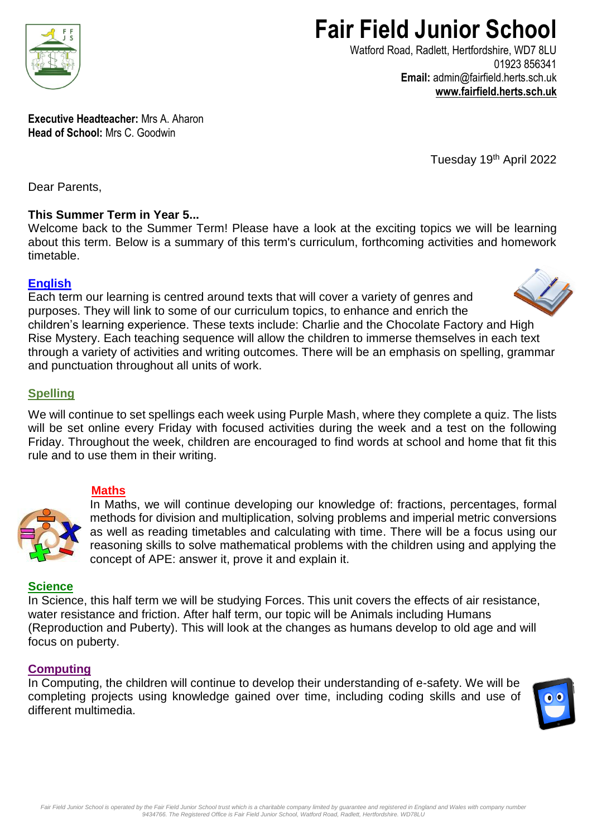

# **Fair Field Junior School**

Watford Road, Radlett, Hertfordshire, WD7 8LU 01923 856341 **Email:** admin@fairfield.herts.sch.uk **[www.fairfield.herts.sch.uk](http://www.fairfield.herts.sch.uk/)**

**Executive Headteacher:** Mrs A. Aharon **Head of School:** Mrs C. Goodwin

Tuesday 19th April 2022

Dear Parents,

# **This Summer Term in Year 5...**

Welcome back to the Summer Term! Please have a look at the exciting topics we will be learning about this term. Below is a summary of this term's curriculum, forthcoming activities and homework timetable.

# **English**

Each term our learning is centred around texts that will cover a variety of genres and purposes. They will link to some of our curriculum topics, to enhance and enrich the children's learning experience. These texts include: Charlie and the Chocolate Factory and High Rise Mystery. Each teaching sequence will allow the children to immerse themselves in each text through a variety of activities and writing outcomes. There will be an emphasis on spelling, grammar and punctuation throughout all units of work.

# **Spelling**

We will continue to set spellings each week using Purple Mash, where they complete a quiz. The lists will be set online every Friday with focused activities during the week and a test on the following Friday. Throughout the week, children are encouraged to find words at school and home that fit this rule and to use them in their writing.

# **Maths**



In Maths, we will continue developing our knowledge of: fractions, percentages, formal methods for division and multiplication, solving problems and imperial metric conversions as well as reading timetables and calculating with time. There will be a focus using our reasoning skills to solve mathematical problems with the children using and applying the concept of APE: answer it, prove it and explain it.

## **Science**

In Science, this half term we will be studying Forces. This unit covers the effects of air resistance, water resistance and friction. After half term, our topic will be Animals including Humans (Reproduction and Puberty). This will look at the changes as humans develop to old age and will focus on puberty.

## **Computing**

In Computing, the children will continue to develop their understanding of e-safety. We will be completing projects using knowledge gained over time, including coding skills and use of different multimedia.



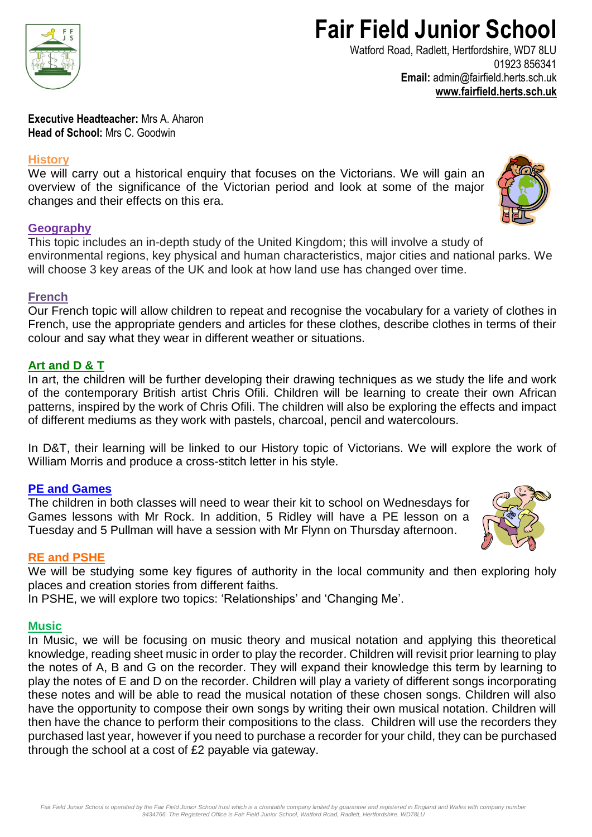

# **Fair Field Junior School**

Watford Road, Radlett, Hertfordshire, WD7 8LU 01923 856341 **Email:** admin@fairfield.herts.sch.uk **[www.fairfield.herts.sch.uk](http://www.fairfield.herts.sch.uk/)**

**Executive Headteacher:** Mrs A. Aharon **Head of School:** Mrs C. Goodwin

#### **History**

We will carry out a historical enquiry that focuses on the Victorians. We will gain an overview of the significance of the Victorian period and look at some of the major changes and their effects on this era.

#### **Geography**

This topic includes an in-depth study of the United Kingdom; this will involve a study of environmental regions, key physical and human characteristics, major cities and national parks. We will choose 3 key areas of the UK and look at how land use has changed over time.

#### **French**

Our French topic will allow children to repeat and recognise the vocabulary for a variety of clothes in French, use the appropriate genders and articles for these clothes, describe clothes in terms of their colour and say what they wear in different weather or situations.

## **Art and D & T**

In art, the children will be further developing their drawing techniques as we study the life and work of the contemporary British artist Chris Ofili. Children will be learning to create their own African patterns, inspired by the work of Chris Ofili. The children will also be exploring the effects and impact of different mediums as they work with pastels, charcoal, pencil and watercolours.

In D&T, their learning will be linked to our History topic of Victorians. We will explore the work of William Morris and produce a cross-stitch letter in his style.

## **PE and Games**

The children in both classes will need to wear their kit to school on Wednesdays for Games lessons with Mr Rock. In addition, 5 Ridley will have a PE lesson on a Tuesday and 5 Pullman will have a session with Mr Flynn on Thursday afternoon.

## **RE and PSHE**

We will be studying some key figures of authority in the local community and then exploring holy places and creation stories from different faiths.

In PSHE, we will explore two topics: 'Relationships' and 'Changing Me'.

#### **Music**

In Music, we will be focusing on music theory and musical notation and applying this theoretical knowledge, reading sheet music in order to play the recorder. Children will revisit prior learning to play the notes of A, B and G on the recorder. They will expand their knowledge this term by learning to play the notes of E and D on the recorder. Children will play a variety of different songs incorporating these notes and will be able to read the musical notation of these chosen songs. Children will also have the opportunity to compose their own songs by writing their own musical notation. Children will then have the chance to perform their compositions to the class. Children will use the recorders they purchased last year, however if you need to purchase a recorder for your child, they can be purchased through the school at a cost of £2 payable via gateway.